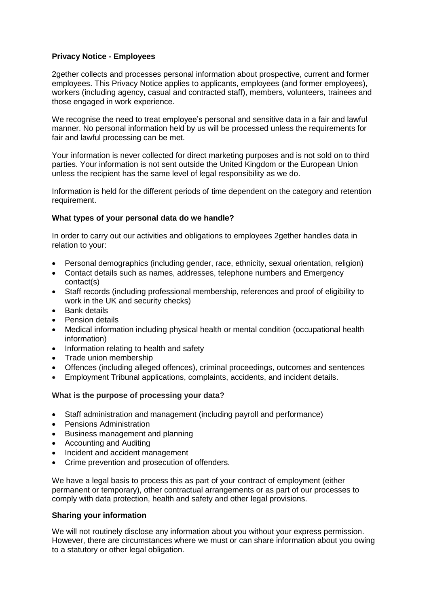# **Privacy Notice - Employees**

2gether collects and processes personal information about prospective, current and former employees. This Privacy Notice applies to applicants, employees (and former employees), workers (including agency, casual and contracted staff), members, volunteers, trainees and those engaged in work experience.

We recognise the need to treat employee's personal and sensitive data in a fair and lawful manner. No personal information held by us will be processed unless the requirements for fair and lawful processing can be met.

Your information is never collected for direct marketing purposes and is not sold on to third parties. Your information is not sent outside the United Kingdom or the European Union unless the recipient has the same level of legal responsibility as we do.

Information is held for the different periods of time dependent on the category and retention requirement.

## **What types of your personal data do we handle?**

In order to carry out our activities and obligations to employees 2gether handles data in relation to your:

- Personal demographics (including gender, race, ethnicity, sexual orientation, religion)
- Contact details such as names, addresses, telephone numbers and Emergency contact(s)
- Staff records (including professional membership, references and proof of eligibility to work in the UK and security checks)
- Bank details
- Pension details
- Medical information including physical health or mental condition (occupational health information)
- Information relating to health and safety
- Trade union membership
- Offences (including alleged offences), criminal proceedings, outcomes and sentences
- Employment Tribunal applications, complaints, accidents, and incident details.

## **What is the purpose of processing your data?**

- Staff administration and management (including payroll and performance)
- Pensions Administration
- Business management and planning
- Accounting and Auditing
- Incident and accident management
- Crime prevention and prosecution of offenders.

We have a legal basis to process this as part of your contract of employment (either permanent or temporary), other contractual arrangements or as part of our processes to comply with data protection, health and safety and other legal provisions.

## **Sharing your information**

We will not routinely disclose any information about you without your express permission. However, there are circumstances where we must or can share information about you owing to a statutory or other legal obligation.